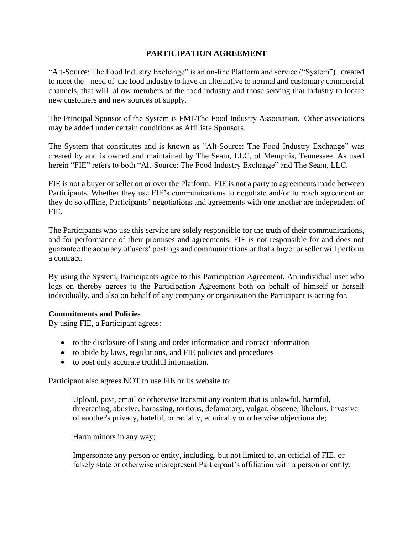## **PARTICIPATION AGREEMENT**

"Alt-Source: The Food Industry Exchange" is an on-line Platform and service ("System") created to meet the need of the food industry to have an alternative to normal and customary commercial channels, that will allow members of the food industry and those serving that industry to locate new customers and new sources of supply.

The Principal Sponsor of the System is FMI-The Food Industry Association. Other associations may be added under certain conditions as Affiliate Sponsors.

The System that constitutes and is known as "Alt-Source: The Food Industry Exchange" was created by and is owned and maintained by The Seam, LLC, of Memphis, Tennessee. As used herein "FIE" refers to both "Alt-Source: The Food Industry Exchange" and The Seam, LLC.

FIE is not a buyer or seller on or over the Platform. FIE is not a party to agreements made between Participants. Whether they use FIE's communications to negotiate and/or to reach agreement or they do so offline, Participants' negotiations and agreements with one another are independent of FIE.

The Participants who use this service are solely responsible for the truth of their communications, and for performance of their promises and agreements. FIE is not responsible for and does not guarantee the accuracy of users' postings and communications or that a buyer or seller will perform a contract.

By using the System, Participants agree to this Participation Agreement. An individual user who logs on thereby agrees to the Participation Agreement both on behalf of himself or herself individually, and also on behalf of any company or organization the Participant is acting for.

### **Commitments and Policies**

By using FIE, a Participant agrees:

- to the disclosure of listing and order information and contact information
- to abide by laws, regulations, and FIE policies and procedures
- to post only accurate truthful information.

Participant also agrees NOT to use FIE or its website to:

Upload, post, email or otherwise transmit any content that is unlawful, harmful, threatening, abusive, harassing, tortious, defamatory, vulgar, obscene, libelous, invasive of another's privacy, hateful, or racially, ethnically or otherwise objectionable;

Harm minors in any way;

Impersonate any person or entity, including, but not limited to, an official of FIE, or falsely state or otherwise misrepresent Participant's affiliation with a person or entity;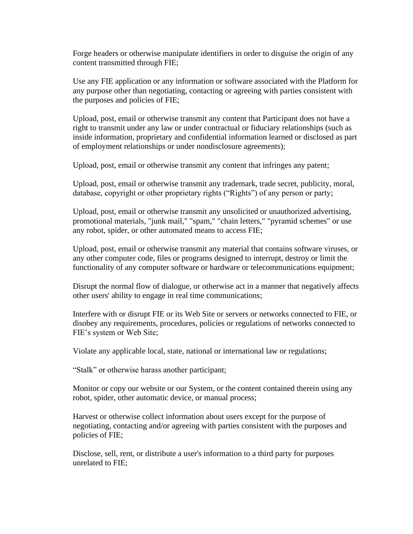Forge headers or otherwise manipulate identifiers in order to disguise the origin of any content transmitted through FIE;

Use any FIE application or any information or software associated with the Platform for any purpose other than negotiating, contacting or agreeing with parties consistent with the purposes and policies of FIE;

Upload, post, email or otherwise transmit any content that Participant does not have a right to transmit under any law or under contractual or fiduciary relationships (such as inside information, proprietary and confidential information learned or disclosed as part of employment relationships or under nondisclosure agreements);

Upload, post, email or otherwise transmit any content that infringes any patent;

Upload, post, email or otherwise transmit any trademark, trade secret, publicity, moral, database, copyright or other proprietary rights ("Rights") of any person or party;

Upload, post, email or otherwise transmit any unsolicited or unauthorized advertising, promotional materials, "junk mail," "spam," "chain letters," "pyramid schemes" or use any robot, spider, or other automated means to access FIE;

Upload, post, email or otherwise transmit any material that contains software viruses, or any other computer code, files or programs designed to interrupt, destroy or limit the functionality of any computer software or hardware or telecommunications equipment;

Disrupt the normal flow of dialogue, or otherwise act in a manner that negatively affects other users' ability to engage in real time communications;

Interfere with or disrupt FIE or its Web Site or servers or networks connected to FIE, or disobey any requirements, procedures, policies or regulations of networks connected to FIE's system or Web Site;

Violate any applicable local, state, national or international law or regulations;

"Stalk" or otherwise harass another participant;

Monitor or copy our website or our System, or the content contained therein using any robot, spider, other automatic device, or manual process;

Harvest or otherwise collect information about users except for the purpose of negotiating, contacting and/or agreeing with parties consistent with the purposes and policies of FIE;

Disclose, sell, rent, or distribute a user's information to a third party for purposes unrelated to FIE;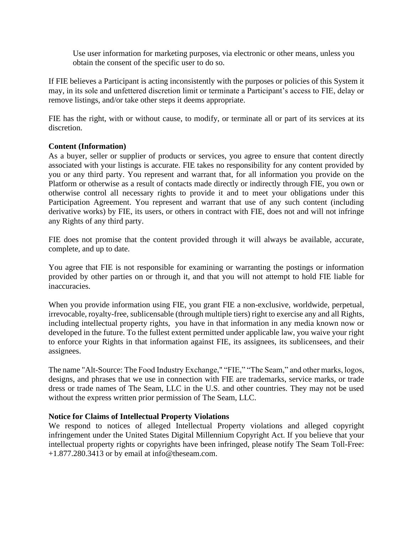Use user information for marketing purposes, via electronic or other means, unless you obtain the consent of the specific user to do so.

If FIE believes a Participant is acting inconsistently with the purposes or policies of this System it may, in its sole and unfettered discretion limit or terminate a Participant's access to FIE, delay or remove listings, and/or take other steps it deems appropriate.

FIE has the right, with or without cause, to modify, or terminate all or part of its services at its discretion.

## **Content (Information)**

As a buyer, seller or supplier of products or services, you agree to ensure that content directly associated with your listings is accurate. FIE takes no responsibility for any content provided by you or any third party. You represent and warrant that, for all information you provide on the Platform or otherwise as a result of contacts made directly or indirectly through FIE, you own or otherwise control all necessary rights to provide it and to meet your obligations under this Participation Agreement. You represent and warrant that use of any such content (including derivative works) by FIE, its users, or others in contract with FIE, does not and will not infringe any Rights of any third party.

FIE does not promise that the content provided through it will always be available, accurate, complete, and up to date.

You agree that FIE is not responsible for examining or warranting the postings or information provided by other parties on or through it, and that you will not attempt to hold FIE liable for inaccuracies.

When you provide information using FIE, you grant FIE a non-exclusive, worldwide, perpetual, irrevocable, royalty-free, sublicensable (through multiple tiers) right to exercise any and all Rights, including intellectual property rights, you have in that information in any media known now or developed in the future. To the fullest extent permitted under applicable law, you waive your right to enforce your Rights in that information against FIE, its assignees, its sublicensees, and their assignees.

The name "Alt-Source: The Food Industry Exchange," "FIE," "The Seam," and other marks, logos, designs, and phrases that we use in connection with FIE are trademarks, service marks, or trade dress or trade names of The Seam, LLC in the U.S. and other countries. They may not be used without the express written prior permission of The Seam, LLC.

### **Notice for Claims of Intellectual Property Violations**

We respond to notices of alleged Intellectual Property violations and alleged copyright infringement under the United States Digital Millennium Copyright Act. If you believe that your intellectual property rights or copyrights have been infringed, please notify The Seam Toll-Free: +1.877.280.3413 or by email at info@theseam.com.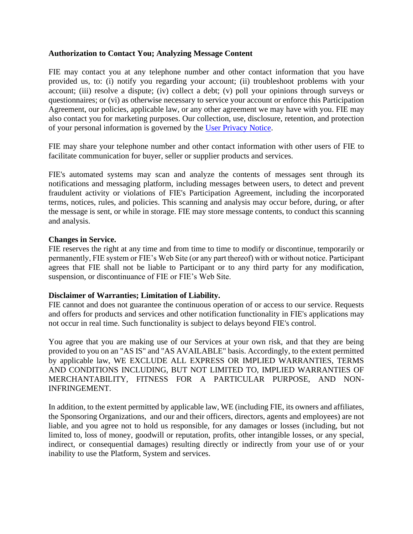## **Authorization to Contact You; Analyzing Message Content**

FIE may contact you at any telephone number and other contact information that you have provided us, to: (i) notify you regarding your account; (ii) troubleshoot problems with your account; (iii) resolve a dispute; (iv) collect a debt; (v) poll your opinions through surveys or questionnaires; or (vi) as otherwise necessary to service your account or enforce this Participation Agreement, our policies, applicable law, or any other agreement we may have with you. FIE may also contact you for marketing purposes. Our collection, use, disclosure, retention, and protection of your personal information is governed by the [User Privacy Notice.](https://www.theseam.com/dist/resources/privacy_policy.pdf)

FIE may share your telephone number and other contact information with other users of FIE to facilitate communication for buyer, seller or supplier products and services.

FIE's automated systems may scan and analyze the contents of messages sent through its notifications and messaging platform, including messages between users, to detect and prevent fraudulent activity or violations of FIE's Participation Agreement, including the incorporated terms, notices, rules, and policies. This scanning and analysis may occur before, during, or after the message is sent, or while in storage. FIE may store message contents, to conduct this scanning and analysis.

### **Changes in Service.**

FIE reserves the right at any time and from time to time to modify or discontinue, temporarily or permanently, FIE system or FIE's Web Site (or any part thereof) with or without notice. Participant agrees that FIE shall not be liable to Participant or to any third party for any modification, suspension, or discontinuance of FIE or FIE's Web Site.

### **Disclaimer of Warranties; Limitation of Liability.**

FIE cannot and does not guarantee the continuous operation of or access to our service. Requests and offers for products and services and other notification functionality in FIE's applications may not occur in real time. Such functionality is subject to delays beyond FIE's control.

You agree that you are making use of our Services at your own risk, and that they are being provided to you on an "AS IS" and "AS AVAILABLE" basis. Accordingly, to the extent permitted by applicable law, WE EXCLUDE ALL EXPRESS OR IMPLIED WARRANTIES, TERMS AND CONDITIONS INCLUDING, BUT NOT LIMITED TO, IMPLIED WARRANTIES OF MERCHANTABILITY, FITNESS FOR A PARTICULAR PURPOSE, AND NON-INFRINGEMENT.

In addition, to the extent permitted by applicable law, WE (including FIE, its owners and affiliates, the Sponsoring Organizations, and our and their officers, directors, agents and employees) are not liable, and you agree not to hold us responsible, for any damages or losses (including, but not limited to, loss of money, goodwill or reputation, profits, other intangible losses, or any special, indirect, or consequential damages) resulting directly or indirectly from your use of or your inability to use the Platform, System and services.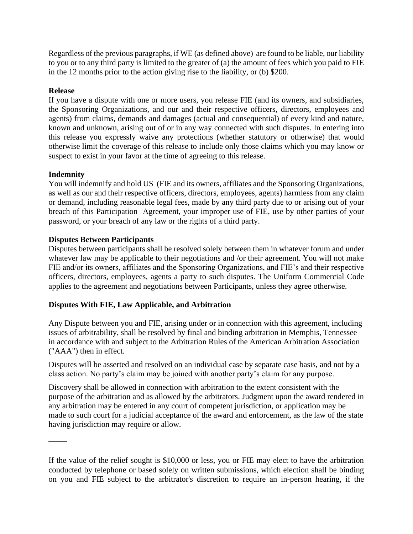Regardless of the previous paragraphs, if WE (as defined above) are found to be liable, our liability to you or to any third party is limited to the greater of (a) the amount of fees which you paid to FIE in the 12 months prior to the action giving rise to the liability, or (b) \$200.

## **Release**

If you have a dispute with one or more users, you release FIE (and its owners, and subsidiaries, the Sponsoring Organizations, and our and their respective officers, directors, employees and agents) from claims, demands and damages (actual and consequential) of every kind and nature, known and unknown, arising out of or in any way connected with such disputes. In entering into this release you expressly waive any protections (whether statutory or otherwise) that would otherwise limit the coverage of this release to include only those claims which you may know or suspect to exist in your favor at the time of agreeing to this release.

## **Indemnity**

You will indemnify and hold US (FIE and its owners, affiliates and the Sponsoring Organizations, as well as our and their respective officers, directors, employees, agents) harmless from any claim or demand, including reasonable legal fees, made by any third party due to or arising out of your breach of this Participation Agreement, your improper use of FIE, use by other parties of your password, or your breach of any law or the rights of a third party.

## **Disputes Between Participants**

Disputes between participants shall be resolved solely between them in whatever forum and under whatever law may be applicable to their negotiations and /or their agreement. You will not make FIE and/or its owners, affiliates and the Sponsoring Organizations, and FIE's and their respective officers, directors, employees, agents a party to such disputes. The Uniform Commercial Code applies to the agreement and negotiations between Participants, unless they agree otherwise.

# **Disputes With FIE, Law Applicable, and Arbitration**

Any Dispute between you and FIE, arising under or in connection with this agreement, including issues of arbitrability, shall be resolved by final and binding arbitration in Memphis, Tennessee in accordance with and subject to the Arbitration Rules of the American Arbitration Association ("AAA") then in effect.

Disputes will be asserted and resolved on an individual case by separate case basis, and not by a class action. No party's claim may be joined with another party's claim for any purpose.

Discovery shall be allowed in connection with arbitration to the extent consistent with the purpose of the arbitration and as allowed by the arbitrators. Judgment upon the award rendered in any arbitration may be entered in any court of competent jurisdiction, or application may be made to such court for a judicial acceptance of the award and enforcement, as the law of the state having jurisdiction may require or allow.

If the value of the relief sought is \$10,000 or less, you or FIE may elect to have the arbitration conducted by telephone or based solely on written submissions, which election shall be binding on you and FIE subject to the arbitrator's discretion to require an in-person hearing, if the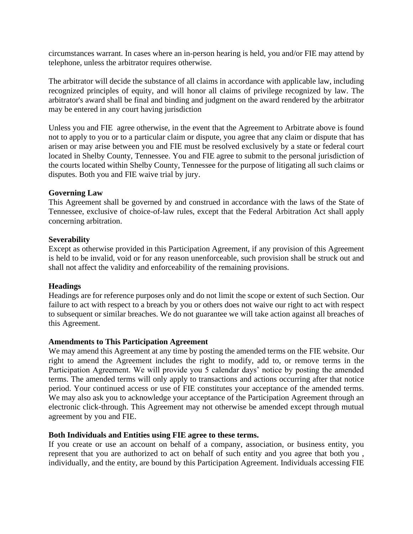circumstances warrant. In cases where an in-person hearing is held, you and/or FIE may attend by telephone, unless the arbitrator requires otherwise.

The arbitrator will decide the substance of all claims in accordance with applicable law, including recognized principles of equity, and will honor all claims of privilege recognized by law. The arbitrator's award shall be final and binding and judgment on the award rendered by the arbitrator may be entered in any court having jurisdiction

Unless you and FIE agree otherwise, in the event that the Agreement to Arbitrate above is found not to apply to you or to a particular claim or dispute, you agree that any claim or dispute that has arisen or may arise between you and FIE must be resolved exclusively by a state or federal court located in Shelby County, Tennessee. You and FIE agree to submit to the personal jurisdiction of the courts located within Shelby County, Tennessee for the purpose of litigating all such claims or disputes. Both you and FIE waive trial by jury.

### **Governing Law**

This Agreement shall be governed by and construed in accordance with the laws of the State of Tennessee, exclusive of choice-of-law rules, except that the Federal Arbitration Act shall apply concerning arbitration.

## **Severability**

Except as otherwise provided in this Participation Agreement, if any provision of this Agreement is held to be invalid, void or for any reason unenforceable, such provision shall be struck out and shall not affect the validity and enforceability of the remaining provisions.

### **Headings**

Headings are for reference purposes only and do not limit the scope or extent of such Section. Our failure to act with respect to a breach by you or others does not waive our right to act with respect to subsequent or similar breaches. We do not guarantee we will take action against all breaches of this Agreement.

### **Amendments to This Participation Agreement**

We may amend this Agreement at any time by posting the amended terms on the FIE website. Our right to amend the Agreement includes the right to modify, add to, or remove terms in the Participation Agreement. We will provide you 5 calendar days' notice by posting the amended terms. The amended terms will only apply to transactions and actions occurring after that notice period. Your continued access or use of FIE constitutes your acceptance of the amended terms. We may also ask you to acknowledge your acceptance of the Participation Agreement through an electronic click-through. This Agreement may not otherwise be amended except through mutual agreement by you and FIE.

# **Both Individuals and Entities using FIE agree to these terms.**

If you create or use an account on behalf of a company, association, or business entity, you represent that you are authorized to act on behalf of such entity and you agree that both you , individually, and the entity, are bound by this Participation Agreement. Individuals accessing FIE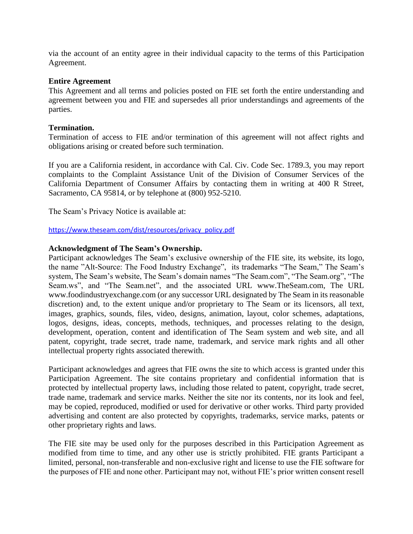via the account of an entity agree in their individual capacity to the terms of this Participation Agreement.

### **Entire Agreement**

This Agreement and all terms and policies posted on FIE set forth the entire understanding and agreement between you and FIE and supersedes all prior understandings and agreements of the parties.

## **Termination.**

Termination of access to FIE and/or termination of this agreement will not affect rights and obligations arising or created before such termination.

If you are a California resident, in accordance with Cal. Civ. Code Sec. 1789.3, you may report complaints to the Complaint Assistance Unit of the Division of Consumer Services of the California Department of Consumer Affairs by contacting them in writing at 400 R Street, Sacramento, CA 95814, or by telephone at (800) 952-5210.

The Seam's Privacy Notice is available at:

[https://www.theseam.com/dist/resources/privacy\\_policy.pdf](https://www.theseam.com/dist/resources/privacy_policy.pdf)

## **Acknowledgment of The Seam's Ownership.**

Participant acknowledges The Seam's exclusive ownership of the FIE site, its website, its logo, the name "Alt-Source: The Food Industry Exchange", its trademarks "The Seam," The Seam's system, The Seam's website, The Seam's domain names "The Seam.com", "The Seam.org", "The Seam.ws", and "The Seam.net", and the associated URL www.TheSeam.com, The URL www.foodindustryexchange.com (or any successor URL designated by The Seam in its reasonable discretion) and, to the extent unique and/or proprietary to The Seam or its licensors, all text, images, graphics, sounds, files, video, designs, animation, layout, color schemes, adaptations, logos, designs, ideas, concepts, methods, techniques, and processes relating to the design, development, operation, content and identification of The Seam system and web site, and all patent, copyright, trade secret, trade name, trademark, and service mark rights and all other intellectual property rights associated therewith.

Participant acknowledges and agrees that FIE owns the site to which access is granted under this Participation Agreement. The site contains proprietary and confidential information that is protected by intellectual property laws, including those related to patent, copyright, trade secret, trade name, trademark and service marks. Neither the site nor its contents, nor its look and feel, may be copied, reproduced, modified or used for derivative or other works. Third party provided advertising and content are also protected by copyrights, trademarks, service marks, patents or other proprietary rights and laws.

The FIE site may be used only for the purposes described in this Participation Agreement as modified from time to time, and any other use is strictly prohibited. FIE grants Participant a limited, personal, non-transferable and non-exclusive right and license to use the FIE software for the purposes of FIE and none other. Participant may not, without FIE's prior written consent resell